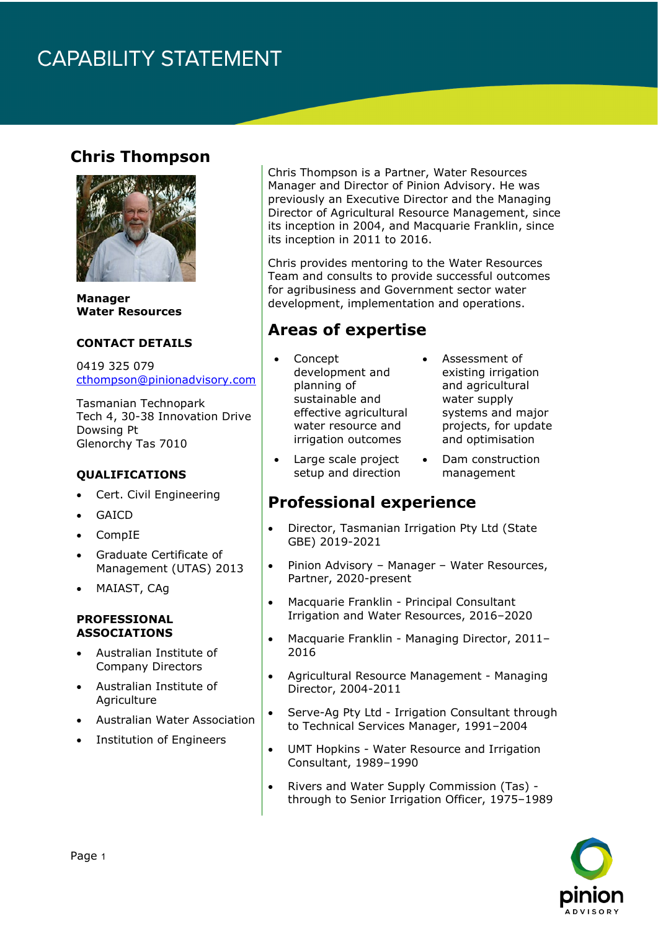## **CAPABILITY STATEMENT**

### **Chris Thompson**



**Manager Water Resources** 

#### **CONTACT DETAILS**

0419 325 079 [cthompson@pinionadvisory.com](mailto:cthompson@pinionadvisory.com)

Tasmanian Technopark Tech 4, 30-38 Innovation Drive Dowsing Pt Glenorchy Tas 7010

#### **QUALIFICATIONS**

- Cert. Civil Engineering
- **GAICD**
- CompIE
- Graduate Certificate of Management (UTAS) 2013
- MAIAST, CAg

#### **PROFESSIONAL ASSOCIATIONS**

- Australian Institute of Company Directors
- Australian Institute of **Agriculture**
- Australian Water Association
- Institution of Engineers

Chris Thompson is a Partner, Water Resources Manager and Director of Pinion Advisory. He was previously an Executive Director and the Managing Director of Agricultural Resource Management, since its inception in 2004, and Macquarie Franklin, since its inception in 2011 to 2016.

Chris provides mentoring to the Water Resources Team and consults to provide successful outcomes for agribusiness and Government sector water development, implementation and operations.

### **Areas of expertise**

- Concept development and planning of sustainable and effective agricultural water resource and irrigation outcomes
- Large scale project setup and direction
- Assessment of existing irrigation and agricultural water supply systems and major projects, for update and optimisation
- Dam construction management

### **Professional experience**

- Director, Tasmanian Irrigation Pty Ltd (State GBE) 2019-2021
- Pinion Advisory Manager Water Resources, Partner, 2020-present
- Macquarie Franklin Principal Consultant Irrigation and Water Resources, 2016–2020
- Macquarie Franklin Managing Director, 2011– 2016
- Agricultural Resource Management Managing Director, 2004-2011
- Serve-Ag Pty Ltd Irrigation Consultant through to Technical Services Manager, 1991–2004
- UMT Hopkins Water Resource and Irrigation Consultant, 1989–1990
- Rivers and Water Supply Commission (Tas) through to Senior Irrigation Officer, 1975–1989

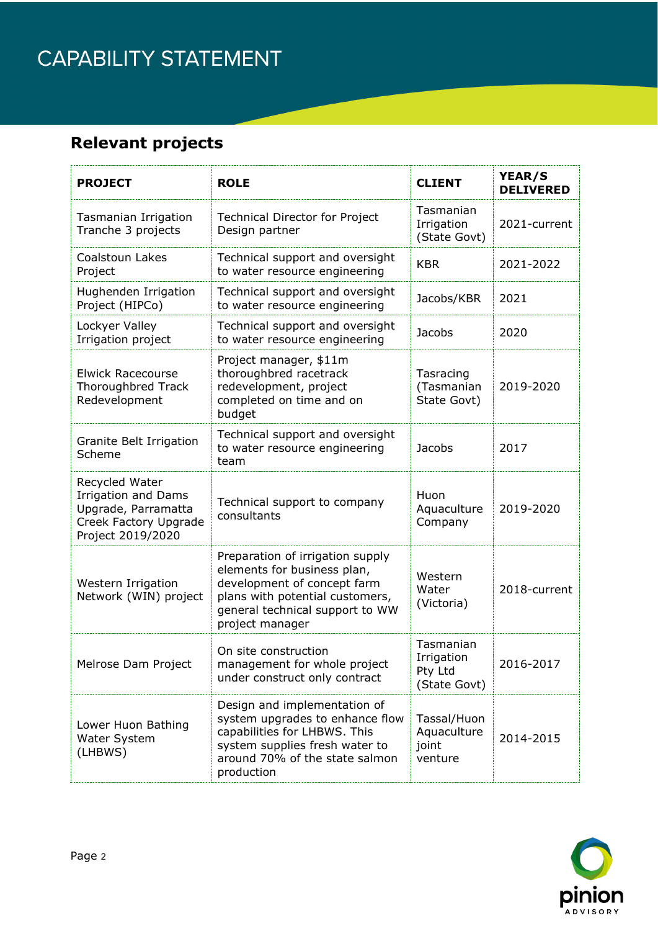## CAPABILITY STATEMENT

## **Relevant projects**

| <b>PROJECT</b>                                                                                                    | <b>ROLE</b>                                                                                                                                                                             | <b>CLIENT</b>                                      | YEAR/S<br><b>DELIVERED</b> |
|-------------------------------------------------------------------------------------------------------------------|-----------------------------------------------------------------------------------------------------------------------------------------------------------------------------------------|----------------------------------------------------|----------------------------|
| Tasmanian Irrigation<br>Tranche 3 projects                                                                        | <b>Technical Director for Project</b><br>Design partner                                                                                                                                 | Tasmanian<br>Irrigation<br>(State Govt)            | 2021-current               |
| Coalstoun Lakes<br>Project                                                                                        | Technical support and oversight<br>to water resource engineering                                                                                                                        | <b>KBR</b>                                         | 2021-2022                  |
| Hughenden Irrigation<br>Project (HIPCo)                                                                           | Technical support and oversight<br>to water resource engineering                                                                                                                        | Jacobs/KBR                                         | 2021                       |
| Lockyer Valley<br>Irrigation project                                                                              | Technical support and oversight<br>to water resource engineering                                                                                                                        | <b>Jacobs</b>                                      | 2020                       |
| <b>Elwick Racecourse</b><br>Thoroughbred Track<br>Redevelopment                                                   | Project manager, \$11m<br>thoroughbred racetrack<br>redevelopment, project<br>completed on time and on<br>budget                                                                        | Tasracing<br>(Tasmanian<br>State Govt)             | 2019-2020                  |
| Granite Belt Irrigation<br>Scheme                                                                                 | Technical support and oversight<br>to water resource engineering<br>team                                                                                                                | <b>Jacobs</b>                                      | 2017                       |
| Recycled Water<br><b>Irrigation and Dams</b><br>Upgrade, Parramatta<br>Creek Factory Upgrade<br>Project 2019/2020 | Technical support to company<br>consultants                                                                                                                                             | Huon<br>Aquaculture<br>Company                     | 2019-2020                  |
| Western Irrigation<br>Network (WIN) project                                                                       | Preparation of irrigation supply<br>elements for business plan,<br>development of concept farm<br>plans with potential customers,<br>general technical support to WW<br>project manager | Western<br>Water<br>(Victoria)                     | 2018-current               |
| Melrose Dam Project                                                                                               | On site construction<br>management for whole project<br>under construct only contract                                                                                                   | Tasmanian<br>Irrigation<br>Pty Ltd<br>(State Govt) | 2016-2017                  |
| Lower Huon Bathing<br>Water System<br>(LHBWS)                                                                     | Design and implementation of<br>system upgrades to enhance flow<br>capabilities for LHBWS. This<br>system supplies fresh water to<br>around 70% of the state salmon<br>production       | Tassal/Huon<br>Aquaculture<br>joint<br>venture     | 2014-2015                  |